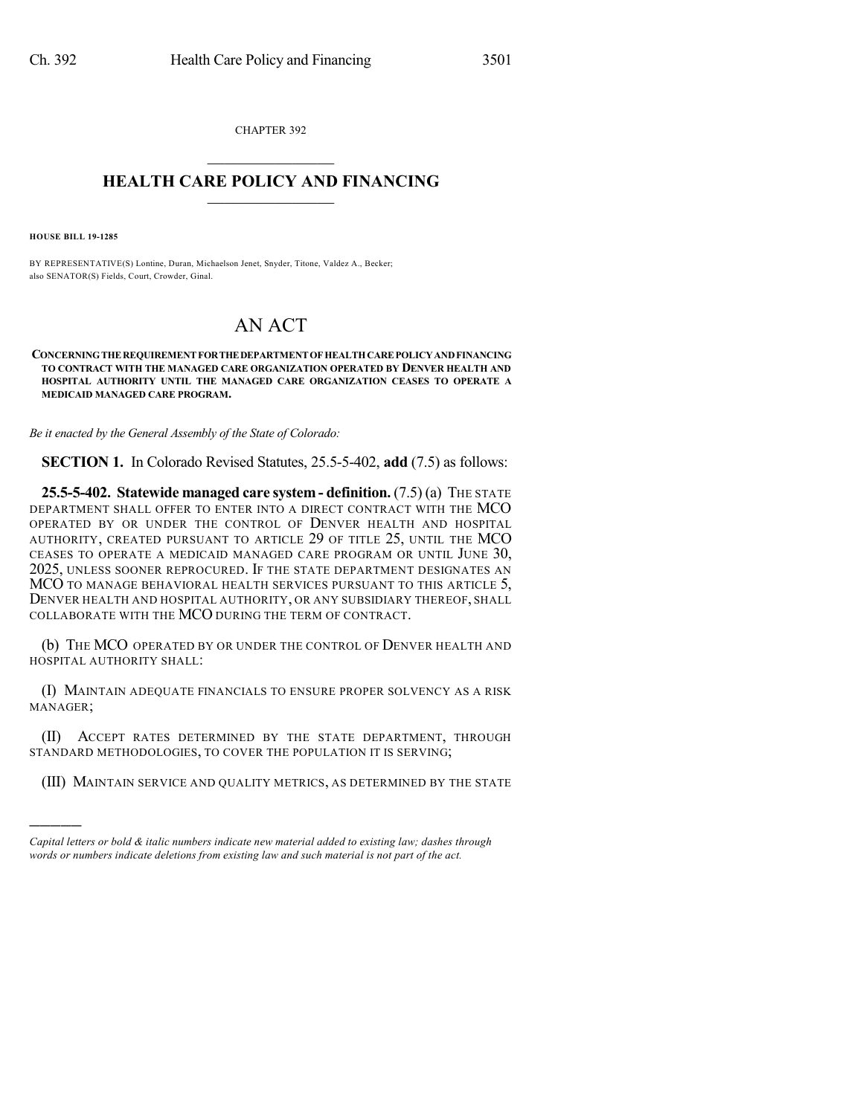CHAPTER 392  $\mathcal{L}_\text{max}$  . The set of the set of the set of the set of the set of the set of the set of the set of the set of the set of the set of the set of the set of the set of the set of the set of the set of the set of the set

## **HEALTH CARE POLICY AND FINANCING**  $\_$   $\_$   $\_$   $\_$   $\_$   $\_$   $\_$   $\_$

**HOUSE BILL 19-1285**

)))))

BY REPRESENTATIVE(S) Lontine, Duran, Michaelson Jenet, Snyder, Titone, Valdez A., Becker; also SENATOR(S) Fields, Court, Crowder, Ginal.

## AN ACT

**CONCERNINGTHEREQUIREMENTFORTHEDEPARTMENTOFHEALTHCAREPOLICYANDFINANCING TO CONTRACT WITH THE MANAGED CARE ORGANIZATION OPERATED BY DENVER HEALTH AND HOSPITAL AUTHORITY UNTIL THE MANAGED CARE ORGANIZATION CEASES TO OPERATE A MEDICAID MANAGED CARE PROGRAM.**

*Be it enacted by the General Assembly of the State of Colorado:*

**SECTION 1.** In Colorado Revised Statutes, 25.5-5-402, **add** (7.5) as follows:

**25.5-5-402. Statewide managed care system - definition.** (7.5) (a) THE STATE DEPARTMENT SHALL OFFER TO ENTER INTO A DIRECT CONTRACT WITH THE MCO OPERATED BY OR UNDER THE CONTROL OF DENVER HEALTH AND HOSPITAL AUTHORITY, CREATED PURSUANT TO ARTICLE 29 OF TITLE 25, UNTIL THE MCO CEASES TO OPERATE A MEDICAID MANAGED CARE PROGRAM OR UNTIL JUNE 30, 2025, UNLESS SOONER REPROCURED. IF THE STATE DEPARTMENT DESIGNATES AN MCO TO MANAGE BEHAVIORAL HEALTH SERVICES PURSUANT TO THIS ARTICLE 5, DENVER HEALTH AND HOSPITAL AUTHORITY, OR ANY SUBSIDIARY THEREOF, SHALL COLLABORATE WITH THE MCO DURING THE TERM OF CONTRACT.

(b) THE MCO OPERATED BY OR UNDER THE CONTROL OF DENVER HEALTH AND HOSPITAL AUTHORITY SHALL:

(I) MAINTAIN ADEQUATE FINANCIALS TO ENSURE PROPER SOLVENCY AS A RISK MANAGER;

(II) ACCEPT RATES DETERMINED BY THE STATE DEPARTMENT, THROUGH STANDARD METHODOLOGIES, TO COVER THE POPULATION IT IS SERVING;

(III) MAINTAIN SERVICE AND QUALITY METRICS, AS DETERMINED BY THE STATE

*Capital letters or bold & italic numbers indicate new material added to existing law; dashes through words or numbers indicate deletions from existing law and such material is not part of the act.*